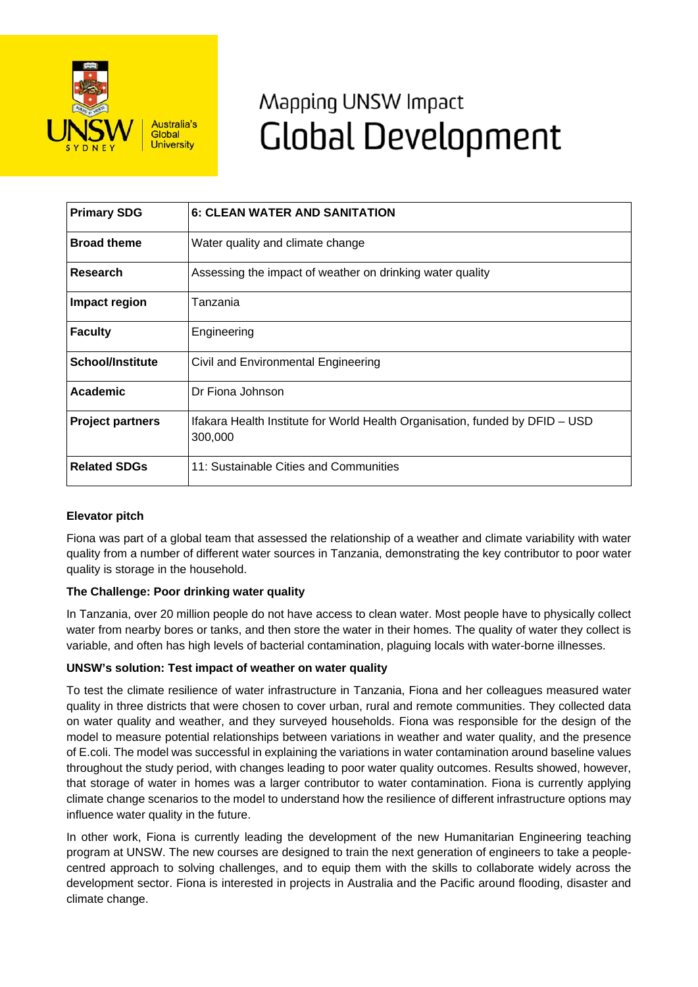

# Mapping UNSW Impact **Global Development**

| <b>Primary SDG</b>      | <b>6: CLEAN WATER AND SANITATION</b>                                                    |
|-------------------------|-----------------------------------------------------------------------------------------|
| <b>Broad theme</b>      | Water quality and climate change                                                        |
| Research                | Assessing the impact of weather on drinking water quality                               |
| Impact region           | Tanzania                                                                                |
| <b>Faculty</b>          | Engineering                                                                             |
| <b>School/Institute</b> | Civil and Environmental Engineering                                                     |
| Academic                | Dr Fiona Johnson                                                                        |
| <b>Project partners</b> | Ifakara Health Institute for World Health Organisation, funded by DFID - USD<br>300,000 |
| <b>Related SDGs</b>     | 11: Sustainable Cities and Communities                                                  |

# **Elevator pitch**

Fiona was part of a global team that assessed the relationship of a weather and climate variability with water quality from a number of different water sources in Tanzania, demonstrating the key contributor to poor water quality is storage in the household.

# **The Challenge: Poor drinking water quality**

In Tanzania, over 20 million people do not have access to clean water. Most people have to physically collect water from nearby bores or tanks, and then store the water in their homes. The quality of water they collect is variable, and often has high levels of bacterial contamination, plaguing locals with water-borne illnesses.

### **UNSW's solution: Test impact of weather on water quality**

To test the climate resilience of water infrastructure in Tanzania, Fiona and her colleagues measured water quality in three districts that were chosen to cover urban, rural and remote communities. They collected data on water quality and weather, and they surveyed households. Fiona was responsible for the design of the model to measure potential relationships between variations in weather and water quality, and the presence of E.coli. The model was successful in explaining the variations in water contamination around baseline values throughout the study period, with changes leading to poor water quality outcomes. Results showed, however, that storage of water in homes was a larger contributor to water contamination. Fiona is currently applying climate change scenarios to the model to understand how the resilience of different infrastructure options may influence water quality in the future.

In other work, Fiona is currently leading the development of the new Humanitarian Engineering teaching program at UNSW. The new courses are designed to train the next generation of engineers to take a peoplecentred approach to solving challenges, and to equip them with the skills to collaborate widely across the development sector. Fiona is interested in projects in Australia and the Pacific around flooding, disaster and climate change.